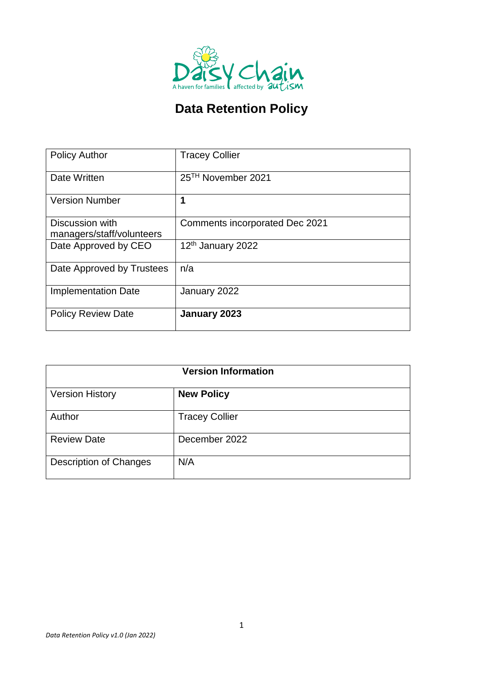

# **Data Retention Policy**

|                            | <b>Tracey Collier</b>                 |
|----------------------------|---------------------------------------|
| <b>Policy Author</b>       |                                       |
|                            |                                       |
| Date Written               | 25 <sup>TH</sup> November 2021        |
|                            |                                       |
| <b>Version Number</b>      | 1                                     |
|                            |                                       |
| Discussion with            | <b>Comments incorporated Dec 2021</b> |
| managers/staff/volunteers  |                                       |
| Date Approved by CEO       | 12 <sup>th</sup> January 2022         |
|                            |                                       |
| Date Approved by Trustees  | n/a                                   |
|                            |                                       |
|                            |                                       |
| <b>Implementation Date</b> | January 2022                          |
|                            |                                       |
| <b>Policy Review Date</b>  | January 2023                          |
|                            |                                       |

| <b>Version Information</b>    |                       |  |
|-------------------------------|-----------------------|--|
| <b>Version History</b>        | <b>New Policy</b>     |  |
| Author                        | <b>Tracey Collier</b> |  |
| <b>Review Date</b>            | December 2022         |  |
| <b>Description of Changes</b> | N/A                   |  |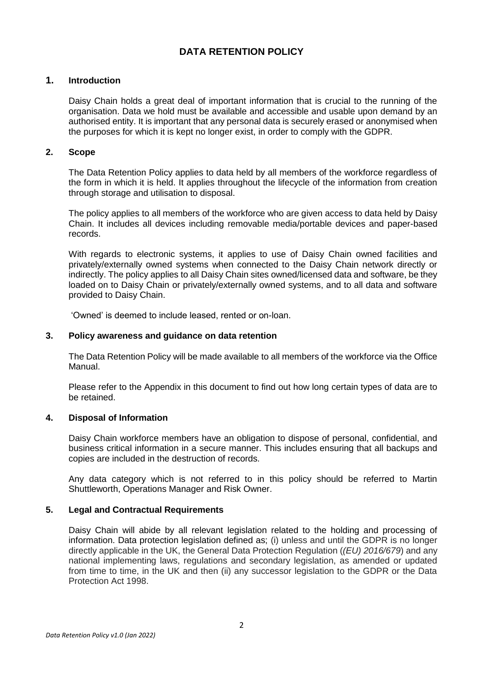### **DATA RETENTION POLICY**

#### **1. Introduction**

Daisy Chain holds a great deal of important information that is crucial to the running of the organisation. Data we hold must be available and accessible and usable upon demand by an authorised entity. It is important that any personal data is securely erased or anonymised when the purposes for which it is kept no longer exist, in order to comply with the GDPR.

#### **2. Scope**

The Data Retention Policy applies to data held by all members of the workforce regardless of the form in which it is held. It applies throughout the lifecycle of the information from creation through storage and utilisation to disposal.

The policy applies to all members of the workforce who are given access to data held by Daisy Chain. It includes all devices including removable media/portable devices and paper-based records.

With regards to electronic systems, it applies to use of Daisy Chain owned facilities and privately/externally owned systems when connected to the Daisy Chain network directly or indirectly. The policy applies to all Daisy Chain sites owned/licensed data and software, be they loaded on to Daisy Chain or privately/externally owned systems, and to all data and software provided to Daisy Chain.

'Owned' is deemed to include leased, rented or on-loan.

#### **3. Policy awareness and guidance on data retention**

The Data Retention Policy will be made available to all members of the workforce via the Office Manual.

Please refer to the Appendix in this document to find out how long certain types of data are to be retained.

#### **4. Disposal of Information**

Daisy Chain workforce members have an obligation to dispose of personal, confidential, and business critical information in a secure manner. This includes ensuring that all backups and copies are included in the destruction of records.

Any data category which is not referred to in this policy should be referred to Martin Shuttleworth, Operations Manager and Risk Owner.

#### **5. Legal and Contractual Requirements**

Daisy Chain will abide by all relevant legislation related to the holding and processing of information. Data protection legislation defined as; (i) unless and until the GDPR is no longer directly applicable in the UK, the General Data Protection Regulation (*(EU) 2016/679*) and any national implementing laws, regulations and secondary legislation, as amended or updated from time to time, in the UK and then (ii) any successor legislation to the GDPR or the Data Protection Act 1998.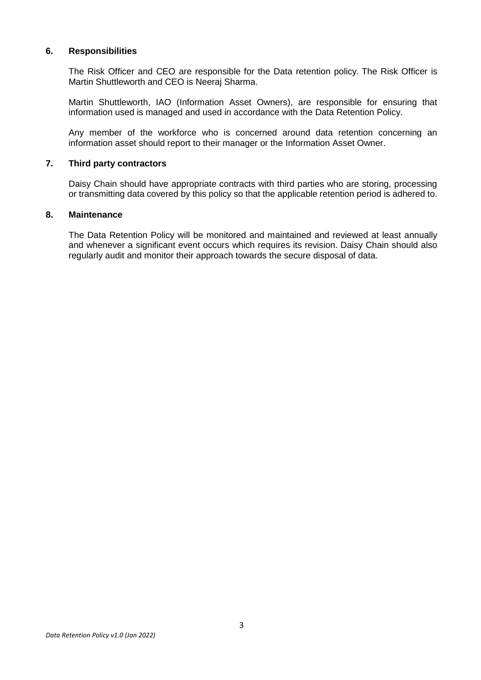#### **6. Responsibilities**

The Risk Officer and CEO are responsible for the Data retention policy. The Risk Officer is Martin Shuttleworth and CEO is Neeraj Sharma.

Martin Shuttleworth, IAO (Information Asset Owners), are responsible for ensuring that information used is managed and used in accordance with the Data Retention Policy.

Any member of the workforce who is concerned around data retention concerning an information asset should report to their manager or the Information Asset Owner.

#### **7. Third party contractors**

Daisy Chain should have appropriate contracts with third parties who are storing, processing or transmitting data covered by this policy so that the applicable retention period is adhered to.

#### **8. Maintenance**

The Data Retention Policy will be monitored and maintained and reviewed at least annually and whenever a significant event occurs which requires its revision. Daisy Chain should also regularly audit and monitor their approach towards the secure disposal of data.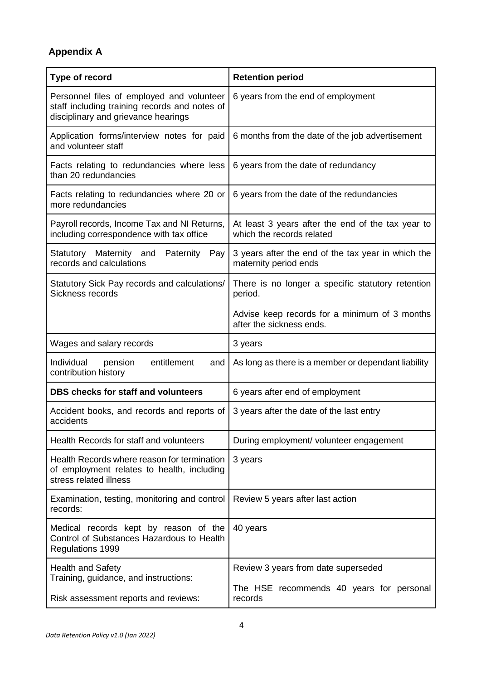# **Appendix A**

| Type of record                                                                                                                    | <b>Retention period</b>                                                        |  |  |
|-----------------------------------------------------------------------------------------------------------------------------------|--------------------------------------------------------------------------------|--|--|
| Personnel files of employed and volunteer<br>staff including training records and notes of<br>disciplinary and grievance hearings | 6 years from the end of employment                                             |  |  |
| Application forms/interview notes for paid<br>and volunteer staff                                                                 | 6 months from the date of the job advertisement                                |  |  |
| Facts relating to redundancies where less<br>than 20 redundancies                                                                 | 6 years from the date of redundancy                                            |  |  |
| Facts relating to redundancies where 20 or<br>more redundancies                                                                   | 6 years from the date of the redundancies                                      |  |  |
| Payroll records, Income Tax and NI Returns,<br>including correspondence with tax office                                           | At least 3 years after the end of the tax year to<br>which the records related |  |  |
| Statutory Maternity and Paternity<br>Pay<br>records and calculations                                                              | 3 years after the end of the tax year in which the<br>maternity period ends    |  |  |
| Statutory Sick Pay records and calculations/<br>Sickness records                                                                  | There is no longer a specific statutory retention<br>period.                   |  |  |
|                                                                                                                                   | Advise keep records for a minimum of 3 months<br>after the sickness ends.      |  |  |
| Wages and salary records                                                                                                          | 3 years                                                                        |  |  |
| entitlement<br>Individual<br>pension<br>and<br>contribution history                                                               | As long as there is a member or dependant liability                            |  |  |
| <b>DBS checks for staff and volunteers</b>                                                                                        | 6 years after end of employment                                                |  |  |
| Accident books, and records and reports of<br>accidents                                                                           | 3 years after the date of the last entry                                       |  |  |
| Health Records for staff and volunteers                                                                                           | During employment/ volunteer engagement                                        |  |  |
| Health Records where reason for termination<br>of employment relates to health, including<br>stress related illness               | 3 years                                                                        |  |  |
| Examination, testing, monitoring and control<br>records:                                                                          | Review 5 years after last action                                               |  |  |
| Medical records kept by reason of the<br>Control of Substances Hazardous to Health<br><b>Regulations 1999</b>                     | 40 years                                                                       |  |  |
| <b>Health and Safety</b><br>Training, guidance, and instructions:                                                                 | Review 3 years from date superseded                                            |  |  |
| Risk assessment reports and reviews:                                                                                              | The HSE recommends 40 years for personal<br>records                            |  |  |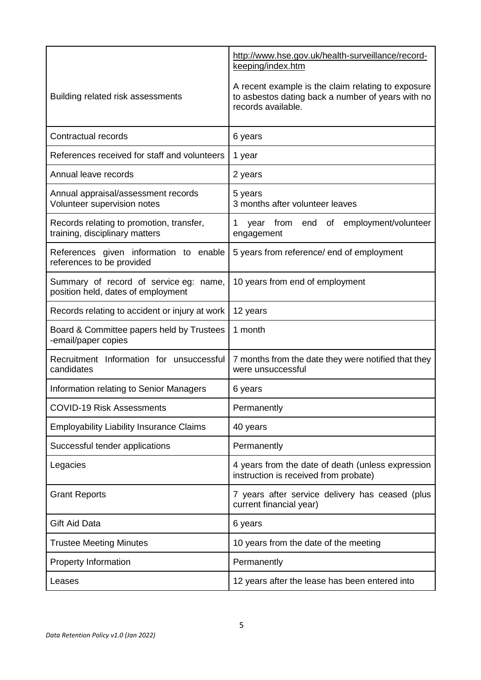|                                                                                 | http://www.hse.gov.uk/health-surveillance/record-<br>keeping/index.htm                                                        |
|---------------------------------------------------------------------------------|-------------------------------------------------------------------------------------------------------------------------------|
| Building related risk assessments                                               | A recent example is the claim relating to exposure<br>to asbestos dating back a number of years with no<br>records available. |
| Contractual records                                                             | 6 years                                                                                                                       |
| References received for staff and volunteers                                    | 1 year                                                                                                                        |
| Annual leave records                                                            | 2 years                                                                                                                       |
| Annual appraisal/assessment records<br>Volunteer supervision notes              | 5 years<br>3 months after volunteer leaves                                                                                    |
| Records relating to promotion, transfer,<br>training, disciplinary matters      | 1<br>employment/volunteer<br>from<br>end<br>Οf<br>year<br>engagement                                                          |
| References given information to enable<br>references to be provided             | 5 years from reference/ end of employment                                                                                     |
| Summary of record of service eg:<br>name,<br>position held, dates of employment | 10 years from end of employment                                                                                               |
| Records relating to accident or injury at work                                  | 12 years                                                                                                                      |
| Board & Committee papers held by Trustees<br>-email/paper copies                | 1 month                                                                                                                       |
| Recruitment Information for unsuccessful<br>candidates                          | 7 months from the date they were notified that they<br>were unsuccessful                                                      |
| Information relating to Senior Managers                                         | 6 years                                                                                                                       |
| <b>COVID-19 Risk Assessments</b>                                                | Permanently                                                                                                                   |
| <b>Employability Liability Insurance Claims</b>                                 | 40 years                                                                                                                      |
| Successful tender applications                                                  | Permanently                                                                                                                   |
| Legacies                                                                        | 4 years from the date of death (unless expression<br>instruction is received from probate)                                    |
| <b>Grant Reports</b>                                                            | 7 years after service delivery has ceased (plus<br>current financial year)                                                    |
| <b>Gift Aid Data</b>                                                            | 6 years                                                                                                                       |
| <b>Trustee Meeting Minutes</b>                                                  | 10 years from the date of the meeting                                                                                         |
| <b>Property Information</b>                                                     | Permanently                                                                                                                   |
| Leases                                                                          | 12 years after the lease has been entered into                                                                                |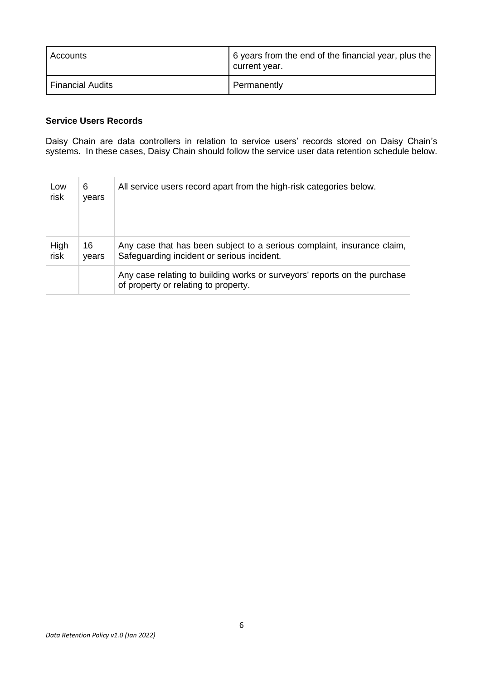| Accounts         | 6 years from the end of the financial year, plus the<br>current year. |
|------------------|-----------------------------------------------------------------------|
| Financial Audits | Permanently                                                           |

### **Service Users Records**

Daisy Chain are data controllers in relation to service users' records stored on Daisy Chain's systems. In these cases, Daisy Chain should follow the service user data retention schedule below.

| Low<br>risk  | 6<br>years  | All service users record apart from the high-risk categories below.                                                   |
|--------------|-------------|-----------------------------------------------------------------------------------------------------------------------|
| High<br>risk | 16<br>vears | Any case that has been subject to a serious complaint, insurance claim,<br>Safeguarding incident or serious incident. |
|              |             | Any case relating to building works or surveyors' reports on the purchase<br>of property or relating to property.     |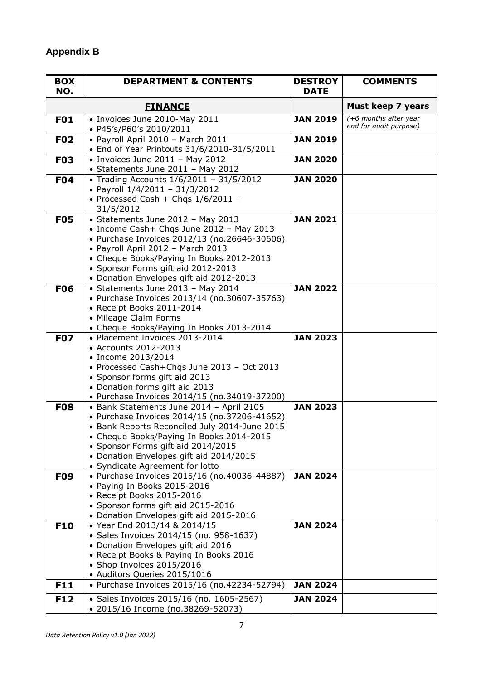# **Appendix B**

| <b>BOX</b><br>NO. | <b>DEPARTMENT &amp; CONTENTS</b>                                                                                                                                                                                                                                                                          | <b>DESTROY</b><br><b>DATE</b> | <b>COMMENTS</b>                                 |
|-------------------|-----------------------------------------------------------------------------------------------------------------------------------------------------------------------------------------------------------------------------------------------------------------------------------------------------------|-------------------------------|-------------------------------------------------|
|                   | <b>FINANCE</b>                                                                                                                                                                                                                                                                                            |                               | Must keep 7 years                               |
| <b>F01</b>        | • Invoices June 2010-May 2011<br>• P45's/P60's 2010/2011                                                                                                                                                                                                                                                  | <b>JAN 2019</b>               | (+6 months after year<br>end for audit purpose) |
| <b>F02</b>        | · Payroll April 2010 - March 2011<br>• End of Year Printouts 31/6/2010-31/5/2011                                                                                                                                                                                                                          | <b>JAN 2019</b>               |                                                 |
| <b>F03</b>        | $\bullet$ Invoices June 2011 - May 2012<br>• Statements June 2011 - May 2012                                                                                                                                                                                                                              | <b>JAN 2020</b>               |                                                 |
| <b>F04</b>        | • Trading Accounts 1/6/2011 - 31/5/2012<br>• Payroll 1/4/2011 - 31/3/2012<br>• Processed Cash + Chqs $1/6/2011$ -<br>31/5/2012                                                                                                                                                                            | <b>JAN 2020</b>               |                                                 |
| <b>F05</b>        | • Statements June 2012 - May 2013<br>• Income Cash+ Chqs June 2012 - May 2013<br>• Purchase Invoices 2012/13 (no.26646-30606)<br>• Payroll April 2012 - March 2013<br>• Cheque Books/Paying In Books 2012-2013<br>• Sponsor Forms gift aid 2012-2013<br>• Donation Envelopes gift aid 2012-2013           | <b>JAN 2021</b>               |                                                 |
| <b>F06</b>        | • Statements June 2013 - May 2014<br>• Purchase Invoices 2013/14 (no.30607-35763)<br>• Receipt Books 2011-2014<br>• Mileage Claim Forms<br>• Cheque Books/Paying In Books 2013-2014                                                                                                                       | <b>JAN 2022</b>               |                                                 |
| <b>F07</b>        | • Placement Invoices 2013-2014<br>• Accounts 2012-2013<br>• Income 2013/2014<br>• Processed Cash+Chgs June 2013 - Oct 2013<br>• Sponsor forms gift aid 2013<br>• Donation forms gift aid 2013<br>• Purchase Invoices 2014/15 (no.34019-37200)                                                             | <b>JAN 2023</b>               |                                                 |
| <b>F08</b>        | • Bank Statements June 2014 - April 2105<br>• Purchase Invoices 2014/15 (no.37206-41652)<br>• Bank Reports Reconciled July 2014-June 2015<br>• Cheque Books/Paying In Books 2014-2015<br>• Sponsor Forms gift aid 2014/2015<br>• Donation Envelopes gift aid 2014/2015<br>• Syndicate Agreement for lotto | <b>JAN 2023</b>               |                                                 |
| <b>F09</b>        | • Purchase Invoices 2015/16 (no.40036-44887)<br>• Paying In Books 2015-2016<br>• Receipt Books 2015-2016<br>• Sponsor forms gift aid 2015-2016<br>• Donation Envelopes gift aid 2015-2016                                                                                                                 | <b>JAN 2024</b>               |                                                 |
| <b>F10</b>        | • Year End 2013/14 & 2014/15<br>• Sales Invoices 2014/15 (no. 958-1637)<br>• Donation Envelopes gift aid 2016<br>• Receipt Books & Paying In Books 2016<br>• Shop Invoices 2015/2016<br>• Auditors Queries 2015/1016                                                                                      | <b>JAN 2024</b>               |                                                 |
| F11               | • Purchase Invoices 2015/16 (no.42234-52794)                                                                                                                                                                                                                                                              | <b>JAN 2024</b>               |                                                 |
| <b>F12</b>        | • Sales Invoices 2015/16 (no. 1605-2567)<br>• 2015/16 Income (no.38269-52073)                                                                                                                                                                                                                             | <b>JAN 2024</b>               |                                                 |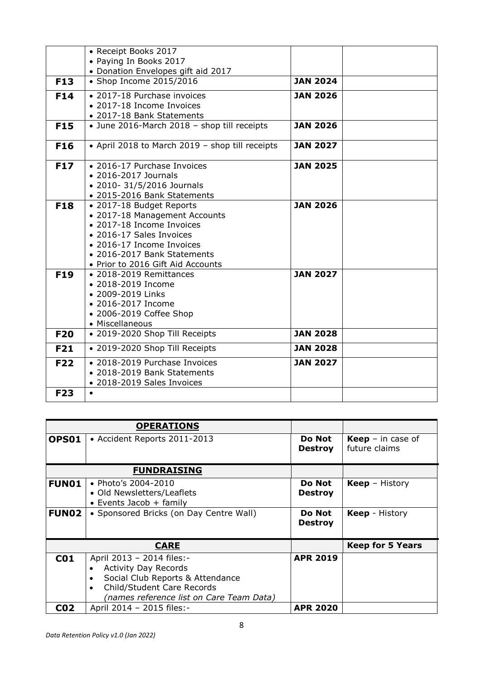|            | • Receipt Books 2017                            |                 |
|------------|-------------------------------------------------|-----------------|
|            | • Paying In Books 2017                          |                 |
|            | • Donation Envelopes gift aid 2017              |                 |
| <b>F13</b> | • Shop Income 2015/2016                         | <b>JAN 2024</b> |
|            |                                                 |                 |
| F14        | • 2017-18 Purchase invoices                     | <b>JAN 2026</b> |
|            | • 2017-18 Income Invoices                       |                 |
|            | • 2017-18 Bank Statements                       |                 |
| <b>F15</b> | • June 2016-March 2018 - shop till receipts     | <b>JAN 2026</b> |
| <b>F16</b> | • April 2018 to March 2019 - shop till receipts | <b>JAN 2027</b> |
|            |                                                 |                 |
| <b>F17</b> | • 2016-17 Purchase Invoices                     | <b>JAN 2025</b> |
|            | • 2016-2017 Journals                            |                 |
|            | • 2010- 31/5/2016 Journals                      |                 |
|            | • 2015-2016 Bank Statements                     |                 |
| <b>F18</b> | • 2017-18 Budget Reports                        | <b>JAN 2026</b> |
|            | • 2017-18 Management Accounts                   |                 |
|            | • 2017-18 Income Invoices                       |                 |
|            | • 2016-17 Sales Invoices                        |                 |
|            | • 2016-17 Income Invoices                       |                 |
|            | • 2016-2017 Bank Statements                     |                 |
|            | • Prior to 2016 Gift Aid Accounts               |                 |
| <b>F19</b> | • 2018-2019 Remittances                         | <b>JAN 2027</b> |
|            | • 2018-2019 Income                              |                 |
|            | • 2009-2019 Links                               |                 |
|            | • 2016-2017 Income                              |                 |
|            | • 2006-2019 Coffee Shop                         |                 |
|            | • Miscellaneous                                 |                 |
| <b>F20</b> | • 2019-2020 Shop Till Receipts                  | <b>JAN 2028</b> |
| <b>F21</b> | • 2019-2020 Shop Till Receipts                  | <b>JAN 2028</b> |
| <b>F22</b> | • 2018-2019 Purchase Invoices                   | <b>JAN 2027</b> |
|            | • 2018-2019 Bank Statements                     |                 |
|            | • 2018-2019 Sales Invoices                      |                 |
| <b>F23</b> | $\bullet$                                       |                 |
|            |                                                 |                 |

|                 | <b>OPERATIONS</b>                                                                                                                                                                                             |                          |                                           |
|-----------------|---------------------------------------------------------------------------------------------------------------------------------------------------------------------------------------------------------------|--------------------------|-------------------------------------------|
| OPS01           | • Accident Reports 2011-2013                                                                                                                                                                                  | Do Not<br><b>Destroy</b> | <b>Keep</b> – in case of<br>future claims |
|                 | <b>FUNDRAISING</b>                                                                                                                                                                                            |                          |                                           |
| <b>FUN01</b>    | • Photo's 2004-2010<br>• Old Newsletters/Leaflets<br>• Events Jacob $+$ family                                                                                                                                | Do Not<br><b>Destroy</b> | <b>Keep</b> – History                     |
| <b>FUN02</b>    | • Sponsored Bricks (on Day Centre Wall)                                                                                                                                                                       | Do Not<br><b>Destroy</b> | <b>Keep</b> - History                     |
|                 | <b>CARE</b>                                                                                                                                                                                                   |                          | <b>Keep for 5 Years</b>                   |
| C <sub>01</sub> | April 2013 - 2014 files:-<br><b>Activity Day Records</b><br>$\bullet$<br>Social Club Reports & Attendance<br>$\bullet$<br>Child/Student Care Records<br>$\bullet$<br>(names reference list on Care Team Data) | <b>APR 2019</b>          |                                           |
| C02             | April 2014 - 2015 files:-                                                                                                                                                                                     | <b>APR 2020</b>          |                                           |